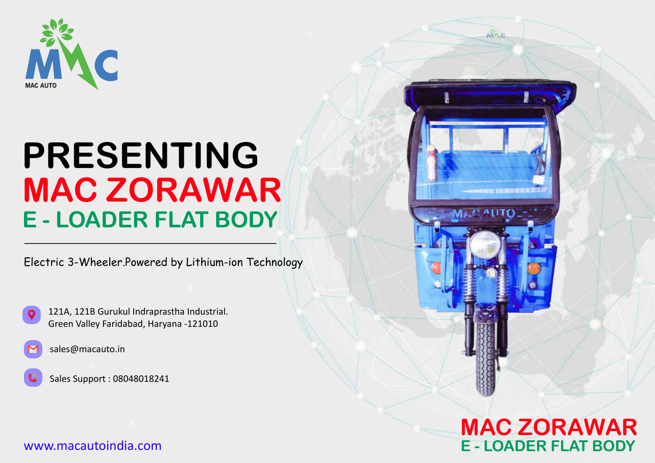

# **PRESENTING MAC ZORAWAR E - LOADER FLAT BODY**

Electric 3-Wheeler.Powered by Lithium-ion Technology





Sales Support : 08048018241

#### www.macautoindia.com



MILC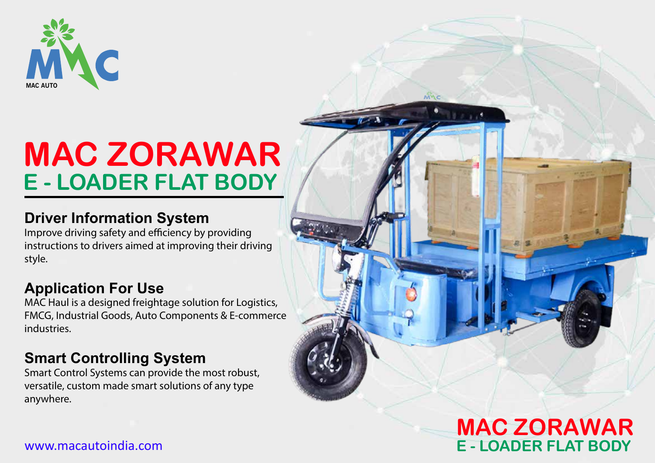

# **MAC ZORAWAR E - LOADER FLAT BODY**

### **Driver Information System**

Improve driving safety and efficiency by providing instructions to drivers aimed at improving their driving style.

### **Application For Use**

MAC Haul is a designed freightage solution for Logistics, FMCG, Industrial Goods, Auto Components & E-commerce industries.

### **Smart Controlling System**

Smart Control Systems can provide the most robust, versatile, custom made smart solutions of any type anywhere.

## **MAC ZORAWAR E - LOADER FLAT BODY**

#### www.macautoindia.com